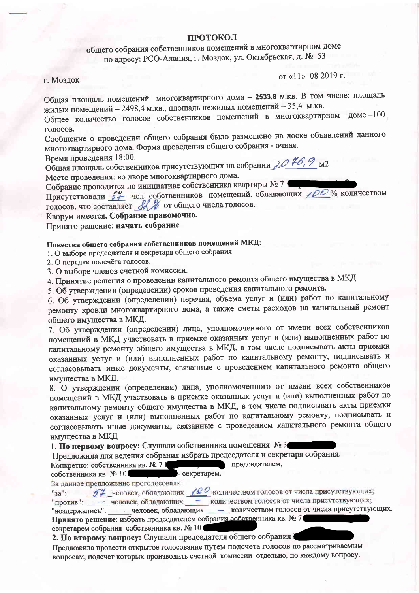### **ПРОТОКОЛ**

общего собрания собственников помещений в многоквартирном доме по адресу: РСО-Алания, г. Моздок, ул. Октябрьская, д. № 53

г. Моздок

от «11» 08 2019 г.

Общая площадь помещений многоквартирного дома - 2533,8 м.кв. В том числе: площадь жилых помещений - 2498,4 м.кв., площадь нежилых помещений - 35,4 м.кв.

Общее количество голосов собственников помещений в многоквартирном доме -100 голосов.

Сообщение о проведении общего собрания было размещено на доске объявлений данного многоквартирного дома. Форма проведения общего собрания - очная.

Время проведения 18:00.

Общая площадь собственников присутствующих на собрании  $\mathcal{AO}$  #6, 9 м2

Место проведения: во дворе многоквартирного дома.

Собрание проводится по инициативе собственника квартиры № 7 Присутствовали 54 чел. собственников помещений, обладающих 100% количеством

голосов, что составляет 8 % от общего числа голосов.

Кворум имеется. Собрание правомочно.

Принято решение: начать собрание

# Повестка общего собрания собственников помещений МКД:

1. О выборе председателя и секретаря общего собрания

2. О порядке подсчёта голосов.

3. О выборе членов счетной комиссии.

4. Принятие решения о проведении капитального ремонта общего имущества в МКД.

5. Об утверждении (определении) сроков проведения капитального ремонта.

6. Об утверждении (определении) перечня, объема услуг и (или) работ по капитальному ремонту кровли многоквартирного дома, а также сметы расходов на капитальный ремонт общего имущества в МКД.

7. Об утверждении (определении) лица, уполномоченного от имени всех собственников помещений в МКД участвовать в приемке оказанных услуг и (или) выполненных работ по капитальному ремонту общего имущества в МКД, в том числе подписывать акты приемки оказанных услуг и (или) выполненных работ по капитальному ремонту, подписывать и согласовывать иные документы, связанные с проведением капитального ремонта общего имущества в МКД.

8. О утверждении (определении) лица, уполномоченного от имени всех собственников помещений в МКД участвовать в приемке оказанных услуг и (или) выполненных работ по капитальному ремонту общего имущества в МКД, в том числе подписывать акты приемки оказанных услуг и (или) выполненных работ по капитальному ремонту, подписывать и согласовывать иные документы, связанные с проведением капитального ремонта общего имущества в МКД

1. По первому вопросу: Слушали собственника помещения № 3

Предложила для ведения собрания избрать председателя и секретаря собрания.

- председателем, Конкретно: собственника кв. № 7 1

- секретарем. собственника кв. № 10

За данное предложение проголосовали:

 $54$  человек, обладающих  $100$  количеством голосов от числа присутствующих;  $"ss"$ 

- человек, обладающих - количеством голосов от числа присутствующих; "против":

"воздержались": - человек, обладающих - количеством голосов от числа присутствующих. Принято решение: избрать председателем собрания собственника кв. № 7 секретарем собрания собственника кв. № 10

2. По второму вопросу: Слушали председателя общего собрания

Предложила провести открытое голосование путем подсчета голосов по рассматриваемым вопросам, подсчет которых производить счетной комиссии отдельно, по каждому вопросу.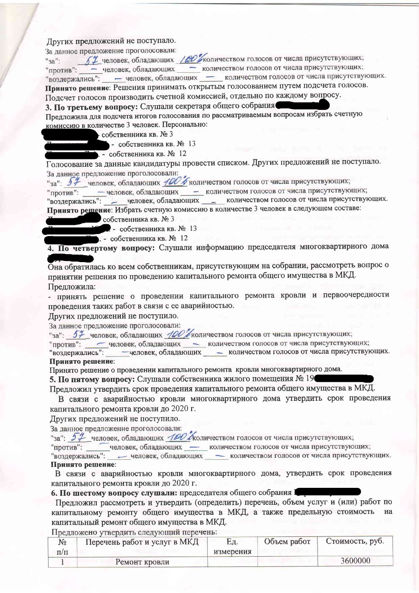# Других предложений не поступало.

За данное предложение проголосовали:

 $"sa"$ 

57 человек, обладающих / СО жоличеством голосов от числа присутствующих;

"против": - человек, обладающих - количеством голосов от числа присутствующих;

"воздержались": - человек, обладающих - количеством голосов от числа присутствующих. Принято решение: Решения принимать открытым голосованием путем подсчета голосов.

Подсчет голосов производить счетной комиссией, отдельно по каждому вопросу.

3. По третьему вопросу: Слушали секретаря общего собрания

Предложила для подсчета итогов голосования по рассматриваемым вопросам избрать счетную комиссию в количестве 3 человек. Персонально:

- собственника кв. № 3

 $\blacksquare$  - собственника кв.  $\mathbb{N}$ <sup>o</sup> 13

• собственника кв. № 12

Голосование за данные кандидатуры провести списком. Других предложений не поступало. За данное предложение проголосовали:

"за": 57 человек, обладающих 100 б количеством голосов от числа присутствующих;

"против": - человек, обладающих - количеством голосов от числа присутствующих;

"воздержались": - человек, обладающих - количеством голосов от числа присутствующих. Принято решение: Избрать счетную комиссию в количестве 3 человек в следующем составе:

собственника кв. № 3

• собственника кв. № 13

. - собственника кв. № 12

4. По четвертому вопросу: Слушали информацию председателя многоквартирного дома

Она обратилась ко всем собственникам, присутствующим на собрании, рассмотреть вопрос о принятии решения по проведению капитального ремонта общего имущества в МКД. Предложила:

- принять решение о проведении капитального ремонта кровли и первоочередности проведения таких работ в связи с ее аварийностью.

Других предложений не поступило.

За данное предложение проголосовали:

"за": 57 человек, обладающих 100 бколичеством голосов от числа присутствующих;

"против": - человек, обладающих - количеством голосов от числа присутствующих;

-человек, обладающих - количеством голосов от числа присутствующих. "воздержались": Принято решение:

Принято решение о проведении капитального ремонта кровли многоквартирного дома.

5. По пятому вопросу: Слушали собственника жилого помещения № 19

Предложил утвердить срок проведения капитального ремонта общего имущества в МКД.

В связи с аварийностью кровли многоквартирного дома утвердить срок проведения капитального ремонта кровли до 2020 г.

Других предложений не поступило.

За данное предложение проголосовали:

"за": 54 человек, обладающих 100 Аколичеством голосов от числа присутствующих;

"против": человек, обладающих - количеством голосов от числа присутствующих;

- человек, обладающих - количеством голосов от числа присутствующих. "воздержались": Принято решение:

В связи с аварийностью кровли многоквартирного дома, утвердить срок проведения капитального ремонта кровли до 2020 г.

6. По шестому вопросу слушали: председателя общего собрания I

Предложил рассмотреть и утвердить (определить) перечень, объем услуг и (или) работ по капитальному ремонту общего имущества в МКД, а также предельную стоимость на капитальный ремонт общего имущества в МКД.

Предложено утвердить следующий перечень:

| Μō        | Перечень работ и услуг в МКД | EД.       | Объем работ | Стоимость, руб. |
|-----------|------------------------------|-----------|-------------|-----------------|
| $\Pi/\Pi$ |                              | измерения |             |                 |
|           | Ремонт кровли                |           |             | 3600000         |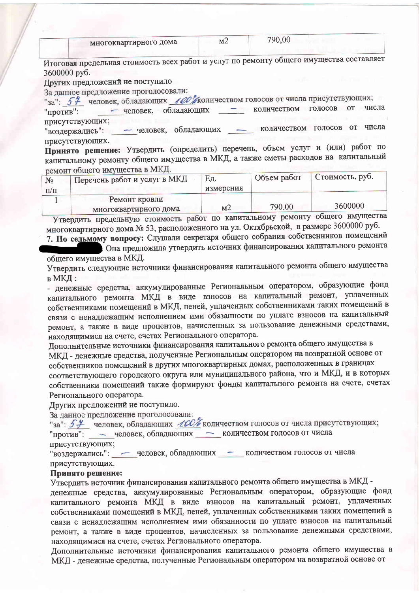| многоквартирного дома | MZ | 790,00 |  |
|-----------------------|----|--------|--|
|                       |    |        |  |

Итоговая предельная стоимость всех работ и услуг по ремонту общего имущества составляет 3600000 руб.

Других предложений не поступило

За данное предложение проголосовали:

"за": 54 человек, обладающих 100 жоличеством голосов от числа присутствующих;

- человек, обладающих - количеством голосов от числа "против": присутствующих;

"воздержались": - человек, обладающих - количеством голосов от числа присутствующих.

Принято решение: Утвердить (определить) перечень, объем услуг и (или) работ по капитальному ремонту общего имущества в МКД, а также сметы расходов на капитальный ремонт общего имущества в МКД.

| $N_2$<br>$\Pi/\Pi$ | $D$ <i>CIMICALI</i> OCEANIC EMILY $\rightarrow$<br>Перечень работ и услуг в МКД | Εд.<br>измерения | Объем работ | Стоимость, руб. |
|--------------------|---------------------------------------------------------------------------------|------------------|-------------|-----------------|
|                    | Ремонт кровли<br>многоквартирного дома                                          | M <sub>2</sub>   | 790,00      | 3600000         |

Утвердить предельную стоимость работ по капитальному ремонту общего имущества многоквартирного дома № 53, расположенного на ул. Октябрьской, в размере 3600000 руб.

7. По седьмому вопросу: Слушали секретаря общего собрания собственников помещений Она предложила утвердить источник финансирования капитального ремонта

общего имущества в МКД. Утвердить следующие источники финансирования капитального ремонта общего имущества  $B$  MK $H$ :

- денежные средства, аккумулированные Региональным оператором, образующие фонд капитального ремонта МКД в виде взносов на капитальный ремонт, уплаченных собственниками помещений в МКД, пеней, уплаченных собственниками таких помещений в связи с ненадлежащим исполнением ими обязанности по уплате взносов на капитальный ремонт, а также в виде процентов, начисленных за пользование денежными средствами, находящимися на счете, счетах Регионального оператора.

Дополнительные источники финансирования капитального ремонта общего имущества в МКД - денежные средства, полученные Региональным оператором на возвратной основе от собственников помещений в других многоквартирных домах, расположенных в границах соответствующего городского округа или муниципального района, что и МКД, и в которых собственники помещений также формируют фонды капитального ремонта на счете, счетах Регионального оператора.

Лругих предложений не поступило.

За данное предложение проголосовали:

"за": 54 человек, обладающих 100% количеством голосов от числа присутствующих; "против": - человек, обладающих - количеством голосов от числа

присутствующих;

"воздержались": - человек, обладающих - количеством голосов от числа присутствующих.

#### Принято решение:

Утвердить источник финансирования капитального ремонта общего имущества в МКД денежные средства, аккумулированные Региональным оператором, образующие фонд капитального ремонта МКД в виде взносов на капитальный ремонт, уплаченных собственниками помещений в МКД, пеней, уплаченных собственниками таких помещений в связи с ненадлежащим исполнением ими обязанности по уплате взносов на капитальный ремонт, а также в виде процентов, начисленных за пользование денежными средствами, находящимися на счете, счетах Регионального оператора.

Дополнительные источники финансирования капитального ремонта общего имущества в МКД - денежные средства, полученные Региональным оператором на возвратной основе от